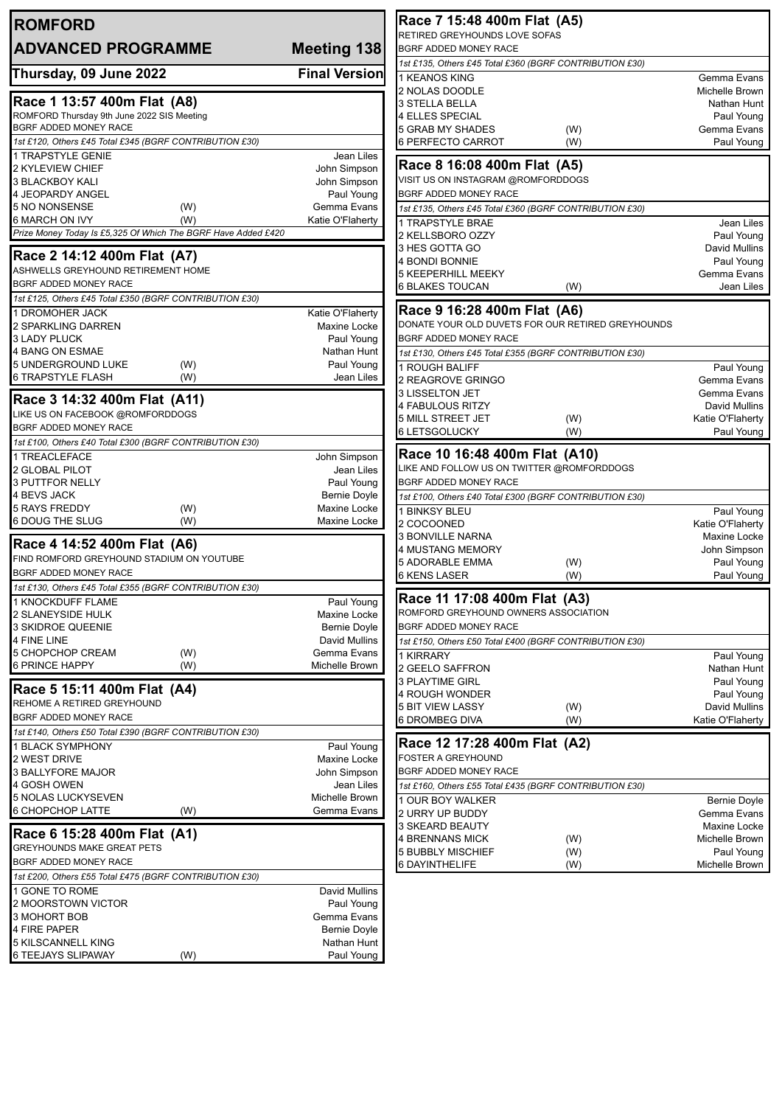| <b>ROMFORD</b>                                                            |                                  | Race 7 15:48 400m Flat (A5)                                          |                                   |
|---------------------------------------------------------------------------|----------------------------------|----------------------------------------------------------------------|-----------------------------------|
| <b>ADVANCED PROGRAMME</b>                                                 | Meeting 138                      | RETIRED GREYHOUNDS LOVE SOFAS<br>BGRF ADDED MONEY RACE               |                                   |
|                                                                           |                                  | 1st £135, Others £45 Total £360 (BGRF CONTRIBUTION £30)              |                                   |
| Thursday, 09 June 2022                                                    | <b>Final Version</b>             | 1 KEANOS KING                                                        | Gemma Evans                       |
|                                                                           |                                  | 2 NOLAS DOODLE                                                       | Michelle Brown                    |
| Race 1 13:57 400m Flat (A8)<br>ROMFORD Thursday 9th June 2022 SIS Meeting |                                  | 3 STELLA BELLA<br>4 ELLES SPECIAL                                    | Nathan Hunt<br>Paul Young         |
| BGRF ADDED MONEY RACE                                                     |                                  | 5 GRAB MY SHADES<br>(W)                                              | Gemma Evans                       |
| 1st £120, Others £45 Total £345 (BGRF CONTRIBUTION £30)                   |                                  | 6 PERFECTO CARROT<br>(W)                                             | Paul Young                        |
| 1 TRAPSTYLE GENIE                                                         | Jean Liles                       | Race 8 16:08 400m Flat (A5)                                          |                                   |
| 2 KYLEVIEW CHIEF<br>3 BLACKBOY KALI                                       | John Simpson<br>John Simpson     | VISIT US ON INSTAGRAM @ROMFORDDOGS                                   |                                   |
| 4 JEOPARDY ANGEL                                                          | Paul Young                       | BGRF ADDED MONEY RACE                                                |                                   |
| 5 NO NONSENSE<br>(W)                                                      | Gemma Evans                      | 1st £135, Others £45 Total £360 (BGRF CONTRIBUTION £30)              |                                   |
| 6 MARCH ON IVY<br>(W)                                                     | Katie O'Flaherty                 | 1 TRAPSTYLE BRAE                                                     | Jean Liles                        |
| Prize Money Today Is £5,325 Of Which The BGRF Have Added £420             |                                  | 2 KELLSBORO OZZY                                                     | Paul Young                        |
| Race 2 14:12 400m Flat (A7)                                               |                                  | 3 HES GOTTA GO<br>4 BONDI BONNIE                                     | David Mullins<br>Paul Young       |
| ASHWELLS GREYHOUND RETIREMENT HOME                                        |                                  | <b>5 KEEPERHILL MEEKY</b>                                            | Gemma Evans                       |
| <b>BGRF ADDED MONEY RACE</b>                                              |                                  | 6 BLAKES TOUCAN<br>(W)                                               | Jean Liles                        |
| 1st £125, Others £45 Total £350 (BGRF CONTRIBUTION £30)                   |                                  | Race 9 16:28 400m Flat (A6)                                          |                                   |
| 1 DROMOHER JACK<br>2 SPARKLING DARREN                                     | Katie O'Flaherty<br>Maxine Locke | DONATE YOUR OLD DUVETS FOR OUR RETIRED GREYHOUNDS                    |                                   |
| <b>3 LADY PLUCK</b>                                                       | Paul Young                       | BGRF ADDED MONEY RACE                                                |                                   |
| 4 BANG ON ESMAE                                                           | Nathan Hunt                      | 1st £130, Others £45 Total £355 (BGRF CONTRIBUTION £30)              |                                   |
| 5 UNDERGROUND LUKE<br>(W)                                                 | Paul Young                       | 1 ROUGH BALIFF                                                       | Paul Young                        |
| <b>6 TRAPSTYLE FLASH</b><br>(W)                                           | Jean Liles                       | 2 REAGROVE GRINGO                                                    | Gemma Evans<br>Gemma Evans        |
| Race 3 14:32 400m Flat (A11)                                              |                                  | 3 LISSELTON JET<br>4 FABULOUS RITZY                                  | David Mullins                     |
| LIKE US ON FACEBOOK @ROMFORDDOGS                                          |                                  | 5 MILL STREET JET<br>(W)                                             | Katie O'Flaherty                  |
| BGRF ADDED MONEY RACE                                                     |                                  | <b>6 LETSGOLUCKY</b><br>(W)                                          | Paul Young                        |
| 1st £100, Others £40 Total £300 (BGRF CONTRIBUTION £30)<br>1 TREACLEFACE  | John Simpson                     | Race 10 16:48 400m Flat (A10)                                        |                                   |
| 2 GLOBAL PILOT                                                            | Jean Liles                       | LIKE AND FOLLOW US ON TWITTER @ROMFORDDOGS                           |                                   |
| 3 PUTTFOR NELLY                                                           | Paul Young                       | BGRF ADDED MONEY RACE                                                |                                   |
| 4 BEVS JACK                                                               | <b>Bernie Doyle</b>              | 1st £100, Others £40 Total £300 (BGRF CONTRIBUTION £30)              |                                   |
| <b>5 RAYS FREDDY</b><br>(W)<br>6 DOUG THE SLUG<br>(W)                     | Maxine Locke<br>Maxine Locke     | 1 BINKSY BLEU<br>2 COCOONED                                          | Paul Young                        |
|                                                                           |                                  | <b>3 BONVILLE NARNA</b>                                              | Katie O'Flaherty<br>Maxine Locke  |
| Race 4 14:52 400m Flat (A6)                                               |                                  | 4 MUSTANG MEMORY                                                     | John Simpson                      |
| FIND ROMFORD GREYHOUND STADIUM ON YOUTUBE<br>BGRF ADDED MONEY RACE        |                                  | 5 ADORABLE EMMA<br>(W)                                               | Paul Young                        |
| 1st £130, Others £45 Total £355 (BGRF CONTRIBUTION £30)                   |                                  | 6 KENS LASER<br>(W)                                                  | Paul Young                        |
| 1 KNOCKDUFF FLAME                                                         | Paul Young                       | Race 11 17:08 400m Flat (A3)                                         |                                   |
| 2 SLANEYSIDE HULK                                                         | Maxine Locke                     | ROMFORD GREYHOUND OWNERS ASSOCIATION                                 |                                   |
| 3 SKIDROE QUEENIE                                                         | <b>Bernie Doyle</b>              | BGRF ADDED MONEY RACE                                                |                                   |
| 4 FINE LINE<br>5 CHOPCHOP CREAM<br>(W)                                    | David Mullins<br>Gemma Evans     | 1st £150, Others £50 Total £400 (BGRF CONTRIBUTION £30)<br>1 KIRRARY | Paul Young                        |
| 6 PRINCE HAPPY<br>(W)                                                     | Michelle Brown                   | 2 GEELO SAFFRON                                                      | Nathan Hunt                       |
| Race 5 15:11 400m Flat (A4)                                               |                                  | <b>3 PLAYTIME GIRL</b>                                               | Paul Young                        |
| REHOME A RETIRED GREYHOUND                                                |                                  | 4 ROUGH WONDER                                                       | Paul Young                        |
| <b>BGRF ADDED MONEY RACE</b>                                              |                                  | 5 BIT VIEW LASSY<br>(W)<br>6 DROMBEG DIVA<br>(W)                     | David Mullins<br>Katie O'Flaherty |
| 1st £140, Others £50 Total £390 (BGRF CONTRIBUTION £30)                   |                                  |                                                                      |                                   |
| 1 BLACK SYMPHONY                                                          | Paul Young                       | Race 12 17:28 400m Flat (A2)                                         |                                   |
| 2 WEST DRIVE                                                              | Maxine Locke                     | FOSTER A GREYHOUND<br>BGRF ADDED MONEY RACE                          |                                   |
| 3 BALLYFORE MAJOR<br>4 GOSH OWEN                                          | John Simpson<br>Jean Liles       | 1st £160, Others £55 Total £435 (BGRF CONTRIBUTION £30)              |                                   |
| 5 NOLAS LUCKYSEVEN                                                        | Michelle Brown                   | 1 OUR BOY WALKER                                                     | <b>Bernie Doyle</b>               |
| 6 CHOPCHOP LATTE<br>(W)                                                   | Gemma Evans                      | 2 URRY UP BUDDY                                                      | Gemma Evans                       |
| Race 6 15:28 400m Flat (A1)                                               |                                  | 3 SKEARD BEAUTY                                                      | Maxine Locke                      |
| <b>GREYHOUNDS MAKE GREAT PETS</b>                                         |                                  | 4 BRENNANS MICK<br>(W)<br>5 BUBBLY MISCHIEF<br>(W)                   | Michelle Brown<br>Paul Young      |
| BGRF ADDED MONEY RACE                                                     |                                  | 6 DAYINTHELIFE<br>(W)                                                | Michelle Brown                    |
| 1st £200, Others £55 Total £475 (BGRF CONTRIBUTION £30)                   |                                  |                                                                      |                                   |
| 1 GONE TO ROME                                                            | David Mullins                    |                                                                      |                                   |
| 2 MOORSTOWN VICTOR<br>3 MOHORT BOB                                        | Paul Young<br>Gemma Evans        |                                                                      |                                   |
| 4 FIRE PAPER                                                              | <b>Bernie Doyle</b>              |                                                                      |                                   |
| 5 KILSCANNELL KING                                                        | Nathan Hunt                      |                                                                      |                                   |
| 6 TEEJAYS SLIPAWAY<br>(W)                                                 | Paul Young                       |                                                                      |                                   |